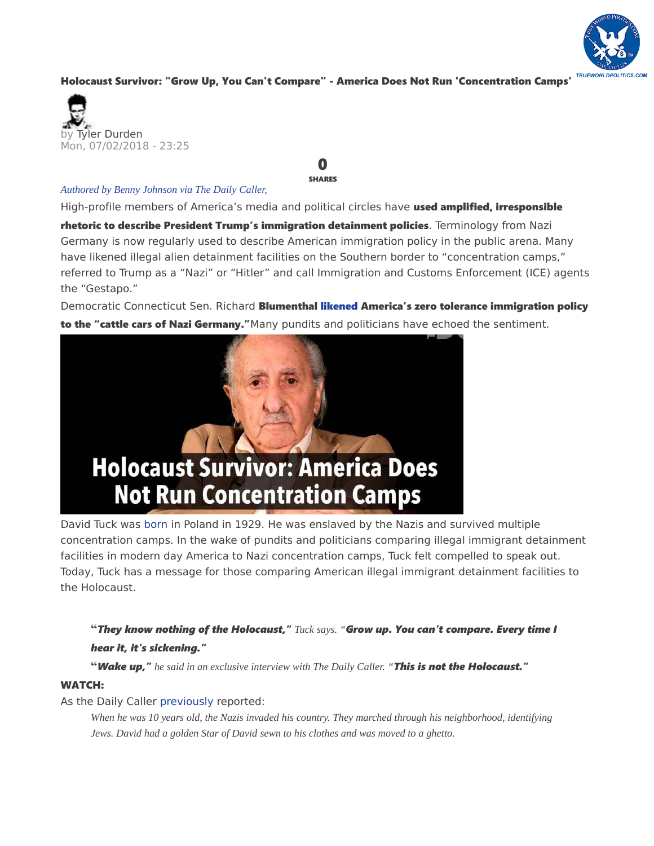

## [Holocaust Survivor: "Grow Up, You Can't Compare" - America Does Not Run 'Concentration Camps'](https://www.zerohedge.com/news/2018-07-02/holocaust-survivor-grow-you-cant-compare-america-does-not-run-concentration-camps)



## *Authored by Benny Johnson via The Daily Caller,*

0 SHARES

High-profile members of America's media and political circles have used amplified, irresponsible

rhetoric to describe President Trump's immigration detainment policies. Terminology from Nazi Germany is now regularly used to describe American immigration policy in the public arena. Many have likened illegal alien detainment facilities on the Southern border to "concentration camps," referred to Trump as a "Nazi" or "Hitler" and call Immigration and Customs Enforcement (ICE) agents the "Gestapo."

Democratic Connecticut Sen. Richard Blumenthal likened America's zero tolerance immigration policy to the "cattle cars of Nazi Germany."Many pundits and politicians have echoed the sentiment.



David Tuck was born in Poland in 1929. He was enslaved by the Nazis and survived multiple concentration camps. In the wake of pundits and politicians comparing illegal immigrant detainment facilities in modern day America to Nazi concentration camps, Tuck felt compelled to speak out. Today, Tuck has a message for those comparing American illegal immigrant detainment facilities to the Holocaust.

**"***They know nothing of the Holocaust," Tuck says. "Grow up. You can't compare. Every time I hear it, it's sickening."*

**"***Wake up," he said in an exclusive interview with The Daily Caller. "This is not the Holocaust."*

## WATCH:

## As the Daily Caller previously reported:

*When he was 10 years old, the Nazis invaded his country. They marched through his neighborhood, identifying Jews. David had a golden Star of David sewn to his clothes and was moved to a ghetto.*